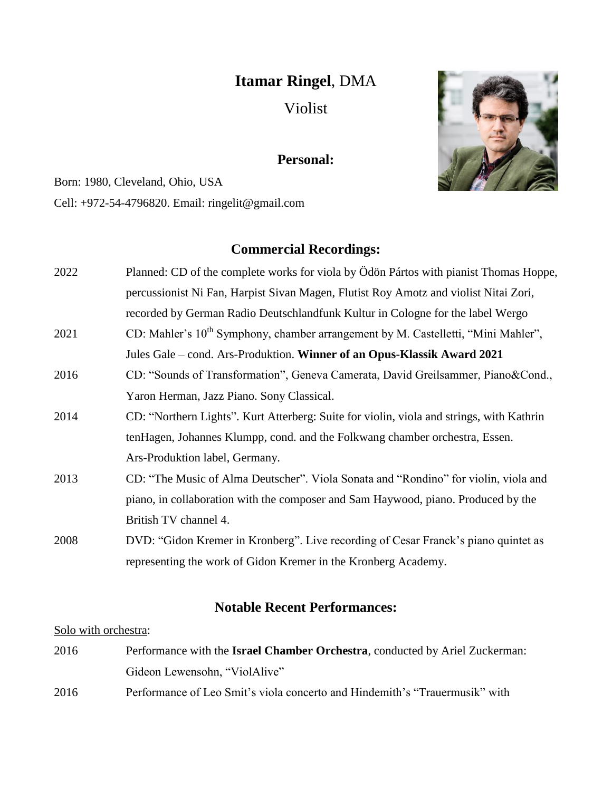# **Itamar Ringel**, DMA

Violist

### **Personal:**

Born: 1980, Cleveland, Ohio, USA

Cell: +972-54-4796820. Email: ringelit@gmail.com

# **Commercial Recordings:**

2022 Planned: CD of the complete works for viola by Ödön Pártos with pianist Thomas Hoppe, percussionist Ni Fan, Harpist Sivan Magen, Flutist Roy Amotz and violist Nitai Zori, recorded by German Radio Deutschlandfunk Kultur in Cologne for the label Wergo 2021 CD: Mahler's  $10^{th}$  Symphony, chamber arrangement by M. Castelletti, "Mini Mahler", Jules Gale – cond. Ars-Produktion. **Winner of an Opus-Klassik Award 2021** 2016 CD: "Sounds of Transformation", Geneva Camerata, David Greilsammer, Piano&Cond., Yaron Herman, Jazz Piano. Sony Classical. 2014 CD: "Northern Lights". Kurt Atterberg: Suite for violin, viola and strings, with Kathrin tenHagen, Johannes Klumpp, cond. and the Folkwang chamber orchestra, Essen. Ars-Produktion label, Germany. 2013 CD: "The Music of Alma Deutscher". Viola Sonata and "Rondino" for violin, viola and piano, in collaboration with the composer and Sam Haywood, piano. Produced by the British TV channel 4. 2008 DVD: "Gidon Kremer in Kronberg". Live recording of Cesar Franck's piano quintet as representing the work of Gidon Kremer in the Kronberg Academy.

#### **Notable Recent Performances:**

#### Solo with orchestra:

| 2016 | Performance with the Israel Chamber Orchestra, conducted by Ariel Zuckerman: |
|------|------------------------------------------------------------------------------|
|      | Gideon Lewensohn, "ViolAlive"                                                |
| 2016 | Performance of Leo Smit's viola concerto and Hindemith's "Trauermusik" with  |

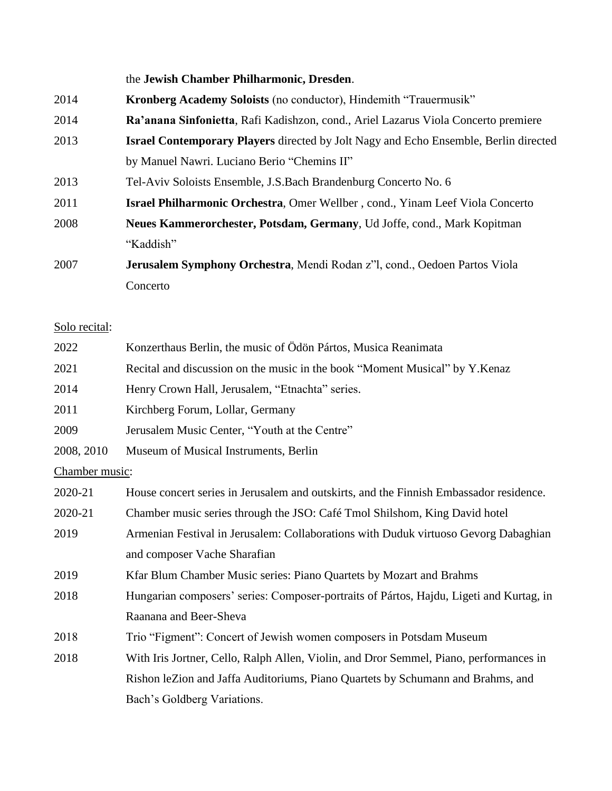|      | the Jewish Chamber Philharmonic, Dresden.                                                   |
|------|---------------------------------------------------------------------------------------------|
| 2014 | <b>Kronberg Academy Soloists</b> (no conductor), Hindemith "Trauermusik"                    |
| 2014 | Ra'anana Sinfonietta, Rafi Kadishzon, cond., Ariel Lazarus Viola Concerto premiere          |
| 2013 | <b>Israel Contemporary Players</b> directed by Jolt Nagy and Echo Ensemble, Berlin directed |
|      | by Manuel Nawri. Luciano Berio "Chemins II"                                                 |
| 2013 | Tel-Aviv Soloists Ensemble, J.S. Bach Brandenburg Concerto No. 6                            |
| 2011 | Israel Philharmonic Orchestra, Omer Wellber, cond., Yinam Leef Viola Concerto               |
| 2008 | Neues Kammerorchester, Potsdam, Germany, Ud Joffe, cond., Mark Kopitman                     |
|      | "Kaddish"                                                                                   |
| 2007 | Jerusalem Symphony Orchestra, Mendi Rodan z"l, cond., Oedoen Partos Viola                   |
|      | Concerto                                                                                    |
|      |                                                                                             |

### Solo recital:

| 2022           | Konzerthaus Berlin, the music of Ödön Pártos, Musica Reanimata                          |  |  |
|----------------|-----------------------------------------------------------------------------------------|--|--|
| 2021           | Recital and discussion on the music in the book "Moment Musical" by Y.Kenaz             |  |  |
| 2014           | Henry Crown Hall, Jerusalem, "Etnachta" series.                                         |  |  |
| 2011           | Kirchberg Forum, Lollar, Germany                                                        |  |  |
| 2009           | Jerusalem Music Center, "Youth at the Centre"                                           |  |  |
| 2008, 2010     | Museum of Musical Instruments, Berlin                                                   |  |  |
| Chamber music: |                                                                                         |  |  |
| 2020-21        | House concert series in Jerusalem and outskirts, and the Finnish Embassador residence.  |  |  |
| 2020-21        | Chamber music series through the JSO: Café Tmol Shilshom, King David hotel              |  |  |
| 2019           | Armenian Festival in Jerusalem: Collaborations with Duduk virtuoso Gevorg Dabaghian     |  |  |
|                | and composer Vache Sharafian                                                            |  |  |
| 2019           | Kfar Blum Chamber Music series: Piano Quartets by Mozart and Brahms                     |  |  |
| 2018           | Hungarian composers' series: Composer-portraits of Pártos, Hajdu, Ligeti and Kurtag, in |  |  |
|                | Raanana and Beer-Sheva                                                                  |  |  |
| 2018           | Trio "Figment": Concert of Jewish women composers in Potsdam Museum                     |  |  |
| 2018           | With Iris Jortner, Cello, Ralph Allen, Violin, and Dror Semmel, Piano, performances in  |  |  |

2018 With Iris Jortner, Cello, Ralph Allen, Violin, and Dror Semmel, Piano, performances in Rishon leZion and Jaffa Auditoriums, Piano Quartets by Schumann and Brahms, and Bach's Goldberg Variations.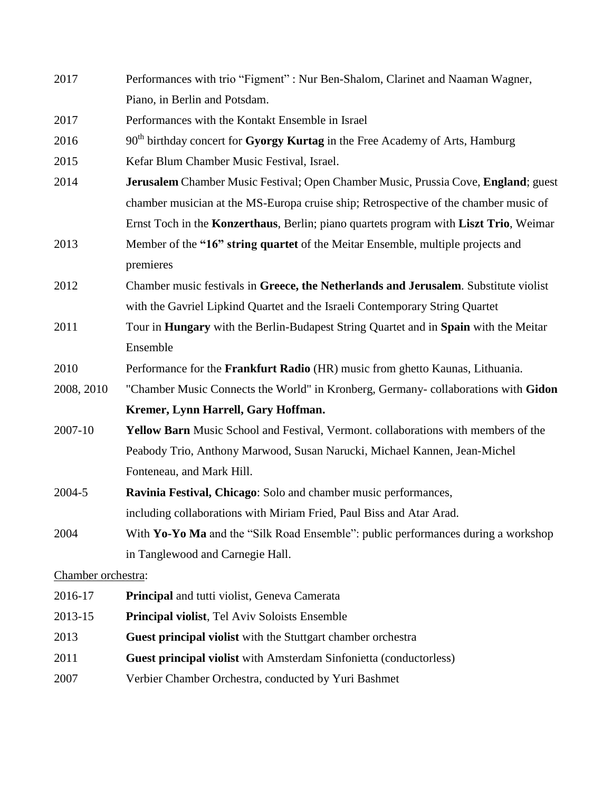- 2017 Performances with trio "Figment" : Nur Ben-Shalom, Clarinet and Naaman Wagner, Piano, in Berlin and Potsdam.
- 2017 Performances with the Kontakt Ensemble in Israel
- 2016 90<sup>th</sup> birthday concert for **Gyorgy Kurtag** in the Free Academy of Arts, Hamburg
- 2015 Kefar Blum Chamber Music Festival, Israel.
- 2014 **Jerusalem** Chamber Music Festival; Open Chamber Music, Prussia Cove, **England**; guest chamber musician at the MS-Europa cruise ship; Retrospective of the chamber music of Ernst Toch in the **Konzerthaus**, Berlin; piano quartets program with **Liszt Trio**, Weimar
- 2013 Member of the **"16" string quartet** of the Meitar Ensemble, multiple projects and premieres
- 2012 Chamber music festivals in **Greece, the Netherlands and Jerusalem**. Substitute violist with the Gavriel Lipkind Quartet and the Israeli Contemporary String Quartet
- 2011 Tour in **Hungary** with the Berlin-Budapest String Quartet and in **Spain** with the Meitar Ensemble
- 2010 Performance for the **Frankfurt Radio** (HR) music from ghetto Kaunas, Lithuania.
- 2008, 2010 "Chamber Music Connects the World" in Kronberg, Germany- collaborations with **Gidon Kremer, Lynn Harrell, Gary Hoffman.**
- 2007-10 **Yellow Barn** Music School and Festival, Vermont. collaborations with members of the Peabody Trio, Anthony Marwood, Susan Narucki, Michael Kannen, Jean-Michel Fonteneau, and Mark Hill.
- 2004-5 **Ravinia Festival, Chicago**: Solo and chamber music performances, including collaborations with Miriam Fried, Paul Biss and Atar Arad.
- 2004 With **Yo-Yo Ma** and the "Silk Road Ensemble": public performances during a workshop in Tanglewood and Carnegie Hall.

Chamber orchestra:

2016-17 **Principal** and tutti violist, Geneva Camerata 2013-15 **Principal violist**, Tel Aviv Soloists Ensemble 2013 **Guest principal violist** with the Stuttgart chamber orchestra 2011 **Guest principal violist** with Amsterdam Sinfonietta (conductorless) 2007 Verbier Chamber Orchestra, conducted by Yuri Bashmet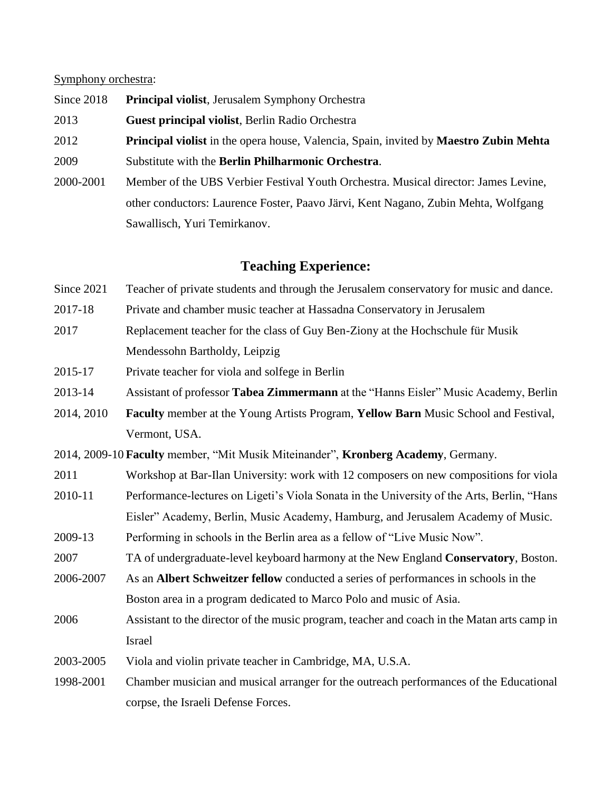Symphony orchestra:

| Since 2018 | <b>Principal violist, Jerusalem Symphony Orchestra</b>                                              |
|------------|-----------------------------------------------------------------------------------------------------|
| 2013       | Guest principal violist, Berlin Radio Orchestra                                                     |
| 2012       | <b>Principal violist</b> in the opera house, Valencia, Spain, invited by <b>Maestro Zubin Mehta</b> |
| 2009       | Substitute with the Berlin Philharmonic Orchestra.                                                  |
| 2000-2001  | Member of the UBS Verbier Festival Youth Orchestra. Musical director: James Levine,                 |

other conductors: Laurence Foster, Paavo Järvi, Kent Nagano, Zubin Mehta, Wolfgang Sawallisch, Yuri Temirkanov.

### **Teaching Experience:**

- Since 2021 Teacher of private students and through the Jerusalem conservatory for music and dance.
- 2017-18 Private and chamber music teacher at Hassadna Conservatory in Jerusalem
- 2017 Replacement teacher for the class of Guy Ben-Ziony at the Hochschule für Musik Mendessohn Bartholdy, Leipzig
- 2015-17 Private teacher for viola and solfege in Berlin
- 2013-14 Assistant of professor **Tabea Zimmermann** at the "Hanns Eisler" Music Academy, Berlin
- 2014, 2010 **Faculty** member at the Young Artists Program, **Yellow Barn** Music School and Festival, Vermont, USA.

2014, 2009-10 **Faculty** member, "Mit Musik Miteinander", **Kronberg Academy**, Germany.

- 2011 Workshop at Bar-Ilan University: work with 12 composers on new compositions for viola
- 2010-11 Performance-lectures on Ligeti's Viola Sonata in the University of the Arts, Berlin, "Hans Eisler" Academy, Berlin, Music Academy, Hamburg, and Jerusalem Academy of Music.
- 2009-13 Performing in schools in the Berlin area as a fellow of "Live Music Now".

2007 TA of undergraduate-level keyboard harmony at the New England **Conservatory**, Boston.

- 2006-2007 As an **Albert Schweitzer fellow** conducted a series of performances in schools in the Boston area in a program dedicated to Marco Polo and music of Asia.
- 2006 Assistant to the director of the music program, teacher and coach in the Matan arts camp in Israel
- 2003-2005 Viola and violin private teacher in Cambridge, MA, U.S.A.
- 1998-2001 Chamber musician and musical arranger for the outreach performances of the Educational corpse, the Israeli Defense Forces.